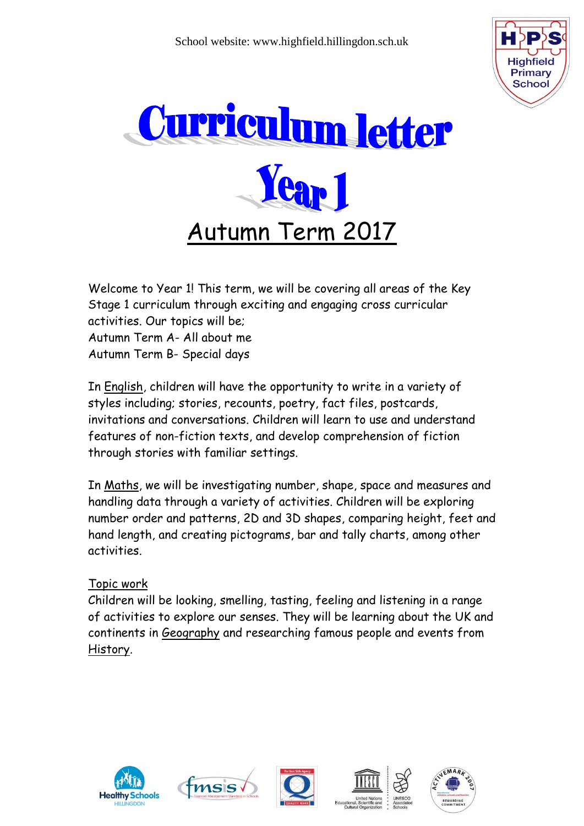



Welcome to Year 1! This term, we will be covering all areas of the Key Stage 1 curriculum through exciting and engaging cross curricular activities. Our topics will be; Autumn Term A- All about me Autumn Term B- Special days

In English, children will have the opportunity to write in a variety of styles including; stories, recounts, poetry, fact files, postcards, invitations and conversations. Children will learn to use and understand features of non-fiction texts, and develop comprehension of fiction through stories with familiar settings.

In Maths, we will be investigating number, shape, space and measures and handling data through a variety of activities. Children will be exploring number order and patterns, 2D and 3D shapes, comparing height, feet and hand length, and creating pictograms, bar and tally charts, among other activities.

## Topic work

Children will be looking, smelling, tasting, feeling and listening in a range of activities to explore our senses. They will be learning about the UK and continents in Geography and researching famous people and events from History.